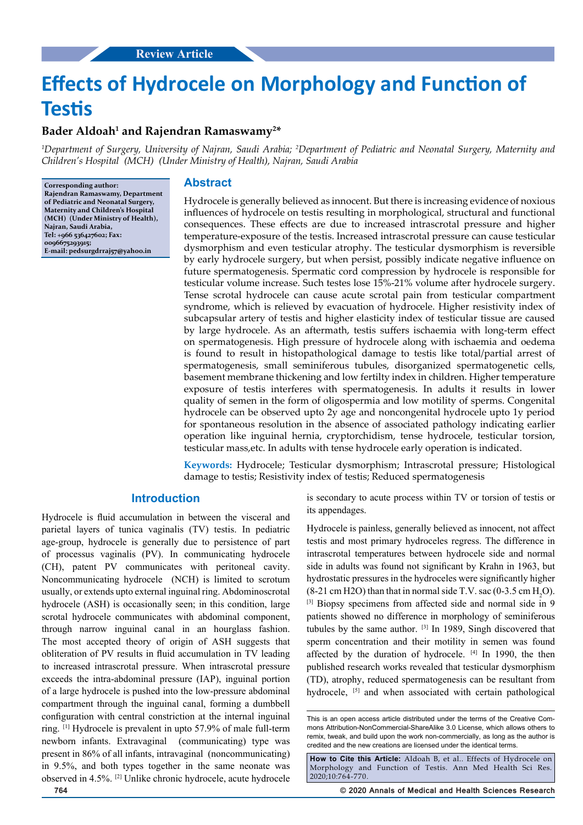# **Effects of Hydrocele on Morphology and Function of Testis**

## **Bader Aldoah1 and Rajendran Ramaswamy2 \***

*1 Department of Surgery, University of Najran, Saudi Arabia; 2 Department of Pediatric and Neonatal Surgery, Maternity and Children's Hospital (MCH) (Under Ministry of Health), Najran, Saudi Arabia*

**Corresponding author: Rajendran Ramaswamy, Department of Pediatric and Neonatal Surgery, Maternity and Children's Hospital (MCH) (Under Ministry of Health), Najran, Saudi Arabia, Tel: +966 536427602; Fax: 0096675293915; E-mail: pedsurgdrraj57@yahoo.in**

## **Abstract**

Hydrocele is generally believed as innocent. But there is increasing evidence of noxious influences of hydrocele on testis resulting in morphological, structural and functional consequences. These effects are due to increased intrascrotal pressure and higher temperature-exposure of the testis. Increased intrascrotal pressure can cause testicular dysmorphism and even testicular atrophy. The testicular dysmorphism is reversible by early hydrocele surgery, but when persist, possibly indicate negative influence on future spermatogenesis. Spermatic cord compression by hydrocele is responsible for testicular volume increase. Such testes lose 15%-21% volume after hydrocele surgery. Tense scrotal hydrocele can cause acute scrotal pain from testicular compartment syndrome, which is relieved by evacuation of hydrocele. Higher resistivity index of subcapsular artery of testis and higher elasticity index of testicular tissue are caused by large hydrocele. As an aftermath, testis suffers ischaemia with long-term effect on spermatogenesis. High pressure of hydrocele along with ischaemia and oedema is found to result in histopathological damage to testis like total/partial arrest of spermatogenesis, small seminiferous tubules, disorganized spermatogenetic cells, basement membrane thickening and low fertilty index in children. Higher temperature exposure of testis interferes with spermatogenesis. In adults it results in lower quality of semen in the form of oligospermia and low motility of sperms. Congenital hydrocele can be observed upto 2y age and noncongenital hydrocele upto 1y period for spontaneous resolution in the absence of associated pathology indicating earlier operation like inguinal hernia, cryptorchidism, tense hydrocele, testicular torsion, testicular mass,etc. In adults with tense hydrocele early operation is indicated.

**Keywords:** Hydrocele; Testicular dysmorphism; Intrascrotal pressure; Histological damage to testis; Resistivity index of testis; Reduced spermatogenesis

## **Introduction**

Hydrocele is fluid accumulation in between the visceral and parietal layers of tunica vaginalis (TV) testis. In pediatric age-group, hydrocele is generally due to persistence of part of processus vaginalis (PV). In communicating hydrocele (CH), patent PV communicates with peritoneal cavity. Noncommunicating hydrocele (NCH) is limited to scrotum usually, or extends upto external inguinal ring. Abdominoscrotal hydrocele (ASH) is occasionally seen; in this condition, large scrotal hydrocele communicates with abdominal component, through narrow inguinal canal in an hourglass fashion. The most accepted theory of origin of ASH suggests that obliteration of PV results in fluid accumulation in TV leading to increased intrascrotal pressure. When intrascrotal pressure exceeds the intra-abdominal pressure (IAP), inguinal portion of a large hydrocele is pushed into the low-pressure abdominal compartment through the inguinal canal, forming a dumbbell configuration with central constriction at the internal inguinal ring. [1] Hydrocele is prevalent in upto 57.9% of male full-term newborn infants. Extravaginal (communicating) type was present in 86% of all infants, intravaginal (noncommunicating) in 9.5%, and both types together in the same neonate was observed in 4.5%. [2] Unlike chronic hydrocele, acute hydrocele

is secondary to acute process within TV or torsion of testis or its appendages.

Hydrocele is painless, generally believed as innocent, not affect testis and most primary hydroceles regress. The difference in intrascrotal temperatures between hydrocele side and normal side in adults was found not significant by Krahn in 1963, but hydrostatic pressures in the hydroceles were significantly higher  $(8-21 \text{ cm H2O})$  than that in normal side T.V. sac  $(0-3.5 \text{ cm H}_2O)$ . [3] Biopsy specimens from affected side and normal side in 9 patients showed no difference in morphology of seminiferous tubules by the same author. [3] In 1989, Singh discovered that sperm concentration and their motility in semen was found affected by the duration of hydrocele. [4] In 1990, the then published research works revealed that testicular dysmorphism (TD), atrophy, reduced spermatogenesis can be resultant from hydrocele, <sup>[5]</sup> and when associated with certain pathological

**764 © 2020 Annals of Medical and Health Sciences Research** 

This is an open access article distributed under the terms of the Creative Commons Attribution‑NonCommercial‑ShareAlike 3.0 License, which allows others to remix, tweak, and build upon the work non‑commercially, as long as the author is credited and the new creations are licensed under the identical terms.

**How to Cite this Article:** Aldoah B, et al.. Effects of Hydrocele on Morphology and Function of Testis. Ann Med Health Sci Res. 2020;10:764-770.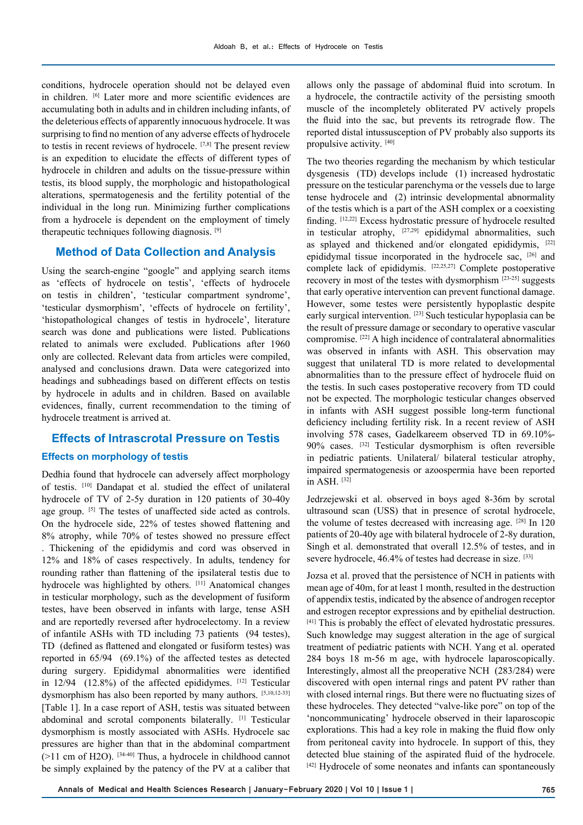conditions, hydrocele operation should not be delayed even in children. [6] Later more and more scientific evidences are accumulating both in adults and in children including infants, of the deleterious effects of apparently innocuous hydrocele. It was surprising to find no mention of any adverse effects of hydrocele to testis in recent reviews of hydrocele. [7,8] The present review is an expedition to elucidate the effects of different types of hydrocele in children and adults on the tissue-pressure within testis, its blood supply, the morphologic and histopathological alterations, spermatogenesis and the fertility potential of the individual in the long run. Minimizing further complications from a hydrocele is dependent on the employment of timely therapeutic techniques following diagnosis. [9]

# **Method of Data Collection and Analysis**

Using the search-engine "google" and applying search items as 'effects of hydrocele on testis', 'effects of hydrocele on testis in children', 'testicular compartment syndrome', 'testicular dysmorphism', 'effects of hydrocele on fertility', 'histopathological changes of testis in hydrocele', literature search was done and publications were listed. Publications related to animals were excluded. Publications after 1960 only are collected. Relevant data from articles were compiled, analysed and conclusions drawn. Data were categorized into headings and subheadings based on different effects on testis by hydrocele in adults and in children. Based on available evidences, finally, current recommendation to the timing of hydrocele treatment is arrived at.

#### **Effects of Intrascrotal Pressure on Testis**

#### **Effects on morphology of testis**

Dedhia found that hydrocele can adversely affect morphology of testis. [10] Dandapat et al. studied the effect of unilateral hydrocele of TV of 2-5y duration in 120 patients of 30-40y age group. [5] The testes of unaffected side acted as controls. On the hydrocele side, 22% of testes showed flattening and 8% atrophy, while 70% of testes showed no pressure effect . Thickening of the epididymis and cord was observed in 12% and 18% of cases respectively. In adults, tendency for rounding rather than flattening of the ipsilateral testis due to hydrocele was highlighted by others. [11] Anatomical changes in testicular morphology, such as the development of fusiform testes, have been observed in infants with large, tense ASH and are reportedly reversed after hydrocelectomy. In a review of infantile ASHs with TD including 73 patients (94 testes), TD (defined as flattened and elongated or fusiform testes) was reported in 65/94 (69.1%) of the affected testes as detected during surgery. Epididymal abnormalities were identified in  $12/94$  (12.8%) of the affected epididymes.  $[12]$  Testicular dysmorphism has also been reported by many authors. [5,10,12-33] [Table 1]. In a case report of ASH, testis was situated between abdominal and scrotal components bilaterally. [1] Testicular dysmorphism is mostly associated with ASHs. Hydrocele sac pressures are higher than that in the abdominal compartment  $(>11$  cm of H2O). [34-40] Thus, a hydrocele in childhood cannot be simply explained by the patency of the PV at a caliber that

allows only the passage of abdominal fluid into scrotum. In a hydrocele, the contractile activity of the persisting smooth muscle of the incompletely obliterated PV actively propels the fluid into the sac, but prevents its retrograde flow. The reported distal intussusception of PV probably also supports its propulsive activity. [40]

The two theories regarding the mechanism by which testicular dysgenesis (TD) develops include (1) increased hydrostatic pressure on the testicular parenchyma or the vessels due to large tense hydrocele and (2) intrinsic developmental abnormality of the testis which is a part of the ASH complex or a coexisting finding. [12,22] Excess hydrostatic pressure of hydrocele resulted in testicular atrophy, [27,29] epididymal abnormalities, such as splayed and thickened and/or elongated epididymis, [22] epididymal tissue incorporated in the hydrocele sac, [26] and complete lack of epididymis. <sup>[22,25,27]</sup> Complete postoperative recovery in most of the testes with dysmorphism [23-25] suggests that early operative intervention can prevent functional damage. However, some testes were persistently hypoplastic despite early surgical intervention. [23] Such testicular hypoplasia can be the result of pressure damage or secondary to operative vascular compromise. [22] A high incidence of contralateral abnormalities was observed in infants with ASH. This observation may suggest that unilateral TD is more related to developmental abnormalities than to the pressure effect of hydrocele fluid on the testis. In such cases postoperative recovery from TD could not be expected. The morphologic testicular changes observed in infants with ASH suggest possible long-term functional deficiency including fertility risk. In a recent review of ASH involving 578 cases, Gadelkareem observed TD in 69.10%- 90% cases. [32] Testicular dysmorphism is often reversible in pediatric patients. Unilateral/ bilateral testicular atrophy, impaired spermatogenesis or azoospermia have been reported in ASH. [32]

Jedrzejewski et al. observed in boys aged 8-36m by scrotal ultrasound scan (USS) that in presence of scrotal hydrocele, the volume of testes decreased with increasing age.  $[28]$  In 120 patients of 20-40y age with bilateral hydrocele of 2-8y duration, Singh et al. demonstrated that overall 12.5% of testes, and in severe hydrocele, 46.4% of testes had decrease in size. [33]

Jozsa et al. proved that the persistence of NCH in patients with mean age of 40m, for at least 1 month, resulted in the destruction of appendix testis, indicated by the absence of androgen receptor and estrogen receptor expressions and by epithelial destruction. [41] This is probably the effect of elevated hydrostatic pressures. Such knowledge may suggest alteration in the age of surgical treatment of pediatric patients with NCH. Yang et al. operated 284 boys 18 m-56 m age, with hydrocele laparoscopically. Interestingly, almost all the preoperative NCH (283/284) were discovered with open internal rings and patent PV rather than with closed internal rings. But there were no fluctuating sizes of these hydroceles. They detected "valve-like pore" on top of the 'noncommunicating' hydrocele observed in their laparoscopic explorations. This had a key role in making the fluid flow only from peritoneal cavity into hydrocele. In support of this, they detected blue staining of the aspirated fluid of the hydrocele. [42] Hydrocele of some neonates and infants can spontaneously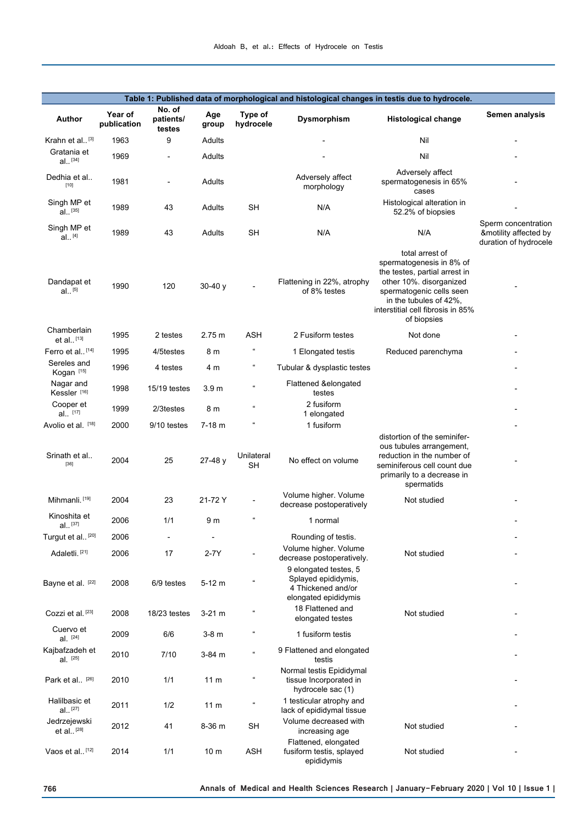| Table 1: Published data of morphological and histological changes in testis due to hydrocele. |                        |                               |                  |                            |                                                                             |                                                                                                                                                                                                                   |                                                                       |  |  |  |
|-----------------------------------------------------------------------------------------------|------------------------|-------------------------------|------------------|----------------------------|-----------------------------------------------------------------------------|-------------------------------------------------------------------------------------------------------------------------------------------------------------------------------------------------------------------|-----------------------------------------------------------------------|--|--|--|
| Author                                                                                        | Year of<br>publication | No. of<br>patients/<br>testes | Age<br>group     | Type of<br>hydrocele       | <b>Dysmorphism</b>                                                          | <b>Histological change</b>                                                                                                                                                                                        | Semen analysis                                                        |  |  |  |
| Krahn et al <sup>[3]</sup>                                                                    | 1963                   | 9                             | Adults           |                            |                                                                             | Nil                                                                                                                                                                                                               |                                                                       |  |  |  |
| Gratania et<br>$al.$ [34]                                                                     | 1969                   |                               | Adults           |                            |                                                                             | Nil                                                                                                                                                                                                               |                                                                       |  |  |  |
| Dedhia et al<br>$[10]$                                                                        | 1981                   | $\overline{a}$                | Adults           |                            | Adversely affect<br>morphology                                              | Adversely affect<br>spermatogenesis in 65%<br>cases                                                                                                                                                               |                                                                       |  |  |  |
| Singh MP et<br>$al.$ [35]                                                                     | 1989                   | 43                            | Adults           | SН                         | N/A                                                                         | Histological alteration in<br>52.2% of biopsies                                                                                                                                                                   |                                                                       |  |  |  |
| Singh MP et<br>$al.$ [4]                                                                      | 1989                   | 43                            | Adults           | <b>SH</b>                  | N/A                                                                         | N/A                                                                                                                                                                                                               | Sperm concentration<br>&motility affected by<br>duration of hydrocele |  |  |  |
| Dandapat et<br>$al.$ [5]                                                                      | 1990                   | 120                           | $30-40y$         |                            | Flattening in 22%, atrophy<br>of 8% testes                                  | total arrest of<br>spermatogenesis in 8% of<br>the testes, partial arrest in<br>other 10%. disorganized<br>spermatogenic cells seen<br>in the tubules of 42%,<br>interstitial cell fibrosis in 85%<br>of biopsies |                                                                       |  |  |  |
| Chamberlain<br>$et al.$ [13]                                                                  | 1995                   | 2 testes                      | 2.75 m           | <b>ASH</b>                 | 2 Fusiform testes                                                           | Not done                                                                                                                                                                                                          |                                                                       |  |  |  |
| Ferro et al <sup>[14]</sup>                                                                   | 1995                   | 4/5testes                     | 8 m              | $\mathfrak{c}\mathfrak{c}$ | 1 Elongated testis                                                          | Reduced parenchyma                                                                                                                                                                                                |                                                                       |  |  |  |
| Sereles and<br>Kogan <sup>[15]</sup>                                                          | 1996                   | 4 testes                      | 4 m              | $\epsilon$                 | Tubular & dysplastic testes                                                 |                                                                                                                                                                                                                   |                                                                       |  |  |  |
| Nagar and<br>Kessler <sup>[16]</sup>                                                          | 1998                   | 15/19 testes                  | 3.9 <sub>m</sub> | $\epsilon$                 | Flattened &elongated<br>testes                                              |                                                                                                                                                                                                                   |                                                                       |  |  |  |
| Cooper et<br>al [17]                                                                          | 1999                   | 2/3testes                     | 8 m              | $\epsilon$                 | 2 fusiform<br>1 elongated                                                   |                                                                                                                                                                                                                   |                                                                       |  |  |  |
| Avolio et al. [18]                                                                            | 2000                   | 9/10 testes                   | $7-18$ m         |                            | 1 fusiform                                                                  |                                                                                                                                                                                                                   |                                                                       |  |  |  |
| Srinath et al<br>[36]                                                                         | 2004                   | 25                            | $27-48y$         | Unilateral<br>SН           | No effect on volume                                                         | distortion of the seminifer-<br>ous tubules arrangement,<br>reduction in the number of<br>seminiferous cell count due<br>primarily to a decrease in<br>spermatids                                                 |                                                                       |  |  |  |
| Mihmanli. <sup>[19]</sup>                                                                     | 2004                   | 23                            | 21-72 Y          |                            | Volume higher. Volume<br>decrease postoperatively                           | Not studied                                                                                                                                                                                                       |                                                                       |  |  |  |
| Kinoshita et<br>$al.$ [37]                                                                    | 2006                   | 1/1                           | 9 m              | $\mathfrak{c}$             | 1 normal                                                                    |                                                                                                                                                                                                                   |                                                                       |  |  |  |
| Turgut et al <sup>[20]</sup>                                                                  | 2006                   |                               |                  |                            | Rounding of testis.                                                         |                                                                                                                                                                                                                   |                                                                       |  |  |  |
| Adaletli. <sup>[21]</sup>                                                                     | 2006                   | 17                            | $2-7Y$           |                            | Volume higher. Volume<br>decrease postoperatively.<br>9 elongated testes, 5 | Not studied                                                                                                                                                                                                       |                                                                       |  |  |  |
| Bayne et al. [22]                                                                             | 2008                   | 6/9 testes                    | $5-12 m$         | $\mathfrak{c}$             | Splayed epididymis,<br>4 Thickened and/or<br>elongated epididymis           |                                                                                                                                                                                                                   |                                                                       |  |  |  |
| Cozzi et al. <sup>[23]</sup>                                                                  | 2008                   | 18/23 testes                  | $3-21$ m         | $\mathfrak{c}\mathfrak{c}$ | 18 Flattened and<br>elongated testes                                        | Not studied                                                                                                                                                                                                       |                                                                       |  |  |  |
| Cuervo et<br>$al.$ [24]                                                                       | 2009                   | 6/6                           | $3-8$ m          | $\mathfrak{c}\mathfrak{c}$ | 1 fusiform testis                                                           |                                                                                                                                                                                                                   |                                                                       |  |  |  |
| Kajbafzadeh et<br>al. [25]                                                                    | 2010                   | 7/10                          | 3-84 m           | $\epsilon$                 | 9 Flattened and elongated<br>testis                                         |                                                                                                                                                                                                                   |                                                                       |  |  |  |
| Park et al. [26]                                                                              | 2010                   | 1/1                           | 11 <sub>m</sub>  | $\mathfrak{c}\mathfrak{c}$ | Normal testis Epididymal<br>tissue Incorporated in<br>hydrocele sac (1)     |                                                                                                                                                                                                                   |                                                                       |  |  |  |
| Halilbasic et<br>$al.$ [27]                                                                   | 2011                   | 1/2                           | 11 <sub>m</sub>  | $\mathfrak{c}\mathfrak{c}$ | 1 testicular atrophy and<br>lack of epididymal tissue                       |                                                                                                                                                                                                                   |                                                                       |  |  |  |
| Jedrzejewski<br>et al <sup>[28]</sup>                                                         | 2012                   | 41                            | 8-36 m           | <b>SH</b>                  | Volume decreased with<br>increasing age                                     | Not studied                                                                                                                                                                                                       |                                                                       |  |  |  |
| Vaos et al <sup>[12]</sup>                                                                    | 2014                   | 1/1                           | 10 <sub>m</sub>  | <b>ASH</b>                 | Flattened, elongated<br>fusiform testis, splayed<br>epididymis              | Not studied                                                                                                                                                                                                       |                                                                       |  |  |  |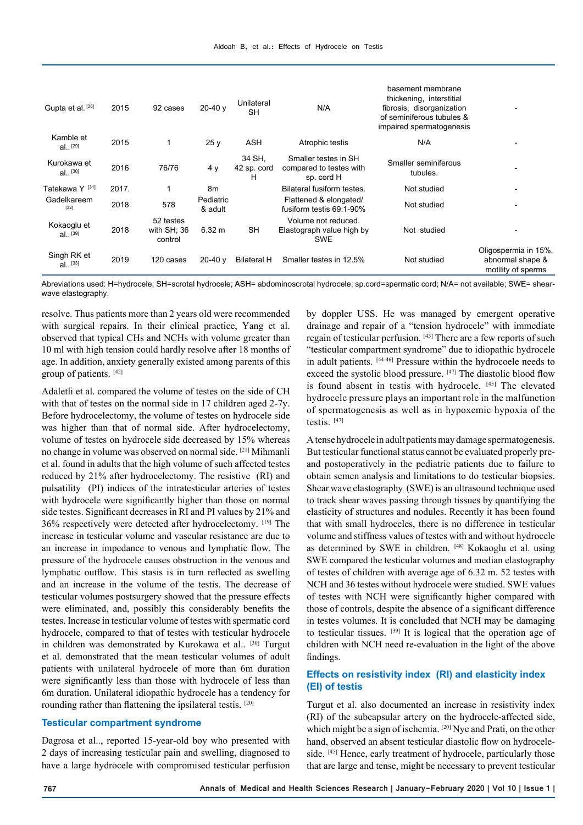| Gupta et al. [38]         | 2015  | 92 cases                            | $20-40v$             | Unilateral<br><b>SH</b>    | N/A                                                            | basement membrane<br>thickening, interstitial<br>fibrosis, disorganization<br>of seminiferous tubules &<br>impaired spermatogenesis |                                                                |
|---------------------------|-------|-------------------------------------|----------------------|----------------------------|----------------------------------------------------------------|-------------------------------------------------------------------------------------------------------------------------------------|----------------------------------------------------------------|
| Kamble et<br>$al.$ [29]   | 2015  |                                     | 25y                  | ASH                        | Atrophic testis                                                | N/A                                                                                                                                 |                                                                |
| Kurokawa et<br>$al.$ [30] | 2016  | 76/76                               | 4 y                  | 34 SH,<br>42 sp. cord<br>н | Smaller testes in SH<br>compared to testes with<br>sp. cord H  | Smaller seminiferous<br>tubules.                                                                                                    |                                                                |
| Tatekawa Y [31]           | 2017. |                                     | 8m                   |                            | Bilateral fusiform testes.                                     | Not studied                                                                                                                         |                                                                |
| Gadelkareem<br>$[32]$     | 2018  | 578                                 | Pediatric<br>& adult |                            | Flattened & elongated/<br>fusiform testis 69.1-90%             | Not studied                                                                                                                         |                                                                |
| Kokaoglu et<br>$al.$ [39] | 2018  | 52 testes<br>with SH; 36<br>control | 6.32 m               | <b>SH</b>                  | Volume not reduced.<br>Elastograph value high by<br><b>SWE</b> | Not studied                                                                                                                         |                                                                |
| Singh RK et<br>$al.$ [33] | 2019  | 120 cases                           | $20-40v$             | <b>Bilateral H</b>         | Smaller testes in 12.5%                                        | Not studied                                                                                                                         | Oligospermia in 15%,<br>abnormal shape &<br>motility of sperms |

Abreviations used: H=hydrocele; SH=scrotal hydrocele; ASH= abdominoscrotal hydrocele; sp.cord=spermatic cord; N/A= not available; SWE= shearwave elastography.

resolve. Thus patients more than 2 years old were recommended with surgical repairs. In their clinical practice, Yang et al. observed that typical CHs and NCHs with volume greater than 10 ml with high tension could hardly resolve after 18 months of age. In addition, anxiety generally existed among parents of this group of patients. [42]

Adaletli et al. compared the volume of testes on the side of CH with that of testes on the normal side in 17 children aged 2-7y. Before hydrocelectomy, the volume of testes on hydrocele side was higher than that of normal side. After hydrocelectomy, volume of testes on hydrocele side decreased by 15% whereas no change in volume was observed on normal side. [21] Mihmanli et al. found in adults that the high volume of such affected testes reduced by 21% after hydrocelectomy. The resistive (RI) and pulsatility (PI) indices of the intratesticular arteries of testes with hydrocele were significantly higher than those on normal side testes. Significant decreases in RI and PI values by 21% and 36% respectively were detected after hydrocelectomy. [19] The increase in testicular volume and vascular resistance are due to an increase in impedance to venous and lymphatic flow. The pressure of the hydrocele causes obstruction in the venous and lymphatic outflow. This stasis is in turn reflected as swelling and an increase in the volume of the testis. The decrease of testicular volumes postsurgery showed that the pressure effects were eliminated, and, possibly this considerably benefits the testes. Increase in testicular volume of testes with spermatic cord hydrocele, compared to that of testes with testicular hydrocele in children was demonstrated by Kurokawa et al..<sup>[30]</sup> Turgut et al. demonstrated that the mean testicular volumes of adult patients with unilateral hydrocele of more than 6m duration were significantly less than those with hydrocele of less than 6m duration. Unilateral idiopathic hydrocele has a tendency for rounding rather than flattening the ipsilateral testis. [20]

#### **Testicular compartment syndrome**

Dagrosa et al.., reported 15-year-old boy who presented with 2 days of increasing testicular pain and swelling, diagnosed to have a large hydrocele with compromised testicular perfusion

by doppler USS. He was managed by emergent operative drainage and repair of a "tension hydrocele" with immediate regain of testicular perfusion. [43] There are a few reports of such "testicular compartment syndrome" due to idiopathic hydrocele in adult patients. [44-46] Pressure within the hydrocoele needs to exceed the systolic blood pressure. [47] The diastolic blood flow is found absent in testis with hydrocele. [45] The elevated hydrocele pressure plays an important role in the malfunction of spermatogenesis as well as in hypoxemic hypoxia of the testis. [47]

A tense hydrocele in adult patients may damage spermatogenesis. But testicular functional status cannot be evaluated properly preand postoperatively in the pediatric patients due to failure to obtain semen analysis and limitations to do testicular biopsies. Shear wave elastography (SWE) is an ultrasound technique used to track shear waves passing through tissues by quantifying the elasticity of structures and nodules. Recently it has been found that with small hydroceles, there is no difference in testicular volume and stiffness values of testes with and without hydrocele as determined by SWE in children. [48] Kokaoglu et al. using SWE compared the testicular volumes and median elastography of testes of children with average age of 6.32 m. 52 testes with NCH and 36 testes without hydrocele were studied. SWE values of testes with NCH were significantly higher compared with those of controls, despite the absence of a significant difference in testes volumes. It is concluded that NCH may be damaging to testicular tissues. [39] It is logical that the operation age of children with NCH need re-evaluation in the light of the above findings.

### **Effects on resistivity index (RI) and elasticity index (EI) of testis**

Turgut et al. also documented an increase in resistivity index (RI) of the subcapsular artery on the hydrocele-affected side, which might be a sign of ischemia. <sup>[20]</sup> Nye and Prati, on the other hand, observed an absent testicular diastolic flow on hydroceleside. [45] Hence, early treatment of hydrocele, particularly those that are large and tense, might be necessary to prevent testicular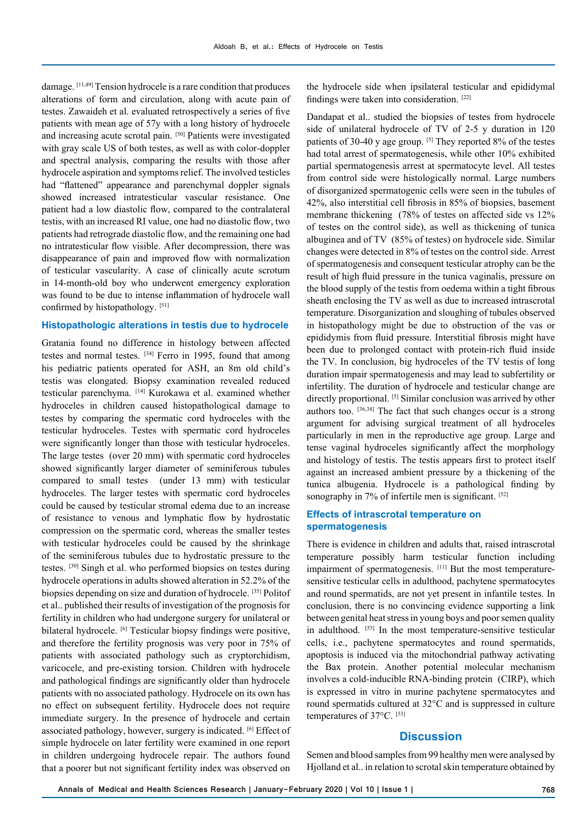damage. [11,49] Tension hydrocele is a rare condition that produces alterations of form and circulation, along with acute pain of testes. Zawaideh et al. evaluated retrospectively a series of five patients with mean age of 57y with a long history of hydrocele and increasing acute scrotal pain. [50] Patients were investigated with gray scale US of both testes, as well as with color-doppler and spectral analysis, comparing the results with those after hydrocele aspiration and symptoms relief. The involved testicles had "flattened" appearance and parenchymal doppler signals showed increased intratesticular vascular resistance. One patient had a low diastolic flow, compared to the contralateral testis, with an increased RI value, one had no diastolic flow, two patients had retrograde diastolic flow, and the remaining one had no intratesticular flow visible. After decompression, there was disappearance of pain and improved flow with normalization of testicular vascularity. A case of clinically acute scrotum in 14-month-old boy who underwent emergency exploration was found to be due to intense inflammation of hydrocele wall confirmed by histopathology. [51]

#### **Histopathologic alterations in testis due to hydrocele**

Gratania found no difference in histology between affected testes and normal testes. <sup>[34]</sup> Ferro in 1995, found that among his pediatric patients operated for ASH, an 8m old child's testis was elongated. Biopsy examination revealed reduced testicular parenchyma. [14] Kurokawa et al. examined whether hydroceles in children caused histopathological damage to testes by comparing the spermatic cord hydroceles with the testicular hydroceles. Testes with spermatic cord hydroceles were significantly longer than those with testicular hydroceles. The large testes (over 20 mm) with spermatic cord hydroceles showed significantly larger diameter of seminiferous tubules compared to small testes (under 13 mm) with testicular hydroceles. The larger testes with spermatic cord hydroceles could be caused by testicular stromal edema due to an increase of resistance to venous and lymphatic flow by hydrostatic compression on the spermatic cord, whereas the smaller testes with testicular hydroceles could be caused by the shrinkage of the seminiferous tubules due to hydrostatic pressure to the testes. [30] Singh et al. who performed biopsies on testes during hydrocele operations in adults showed alteration in 52.2% of the biopsies depending on size and duration of hydrocele. [35] Politof et al.. published their results of investigation of the prognosis for fertility in children who had undergone surgery for unilateral or bilateral hydrocele. <sup>[6]</sup> Testicular biopsy findings were positive, and therefore the fertility prognosis was very poor in 75% of patients with associated pathology such as cryptorchidism, varicocele, and pre-existing torsion. Children with hydrocele and pathological findings are significantly older than hydrocele patients with no associated pathology. Hydrocele on its own has no effect on subsequent fertility. Hydrocele does not require immediate surgery. In the presence of hydrocele and certain associated pathology, however, surgery is indicated. [6] Effect of simple hydrocele on later fertility were examined in one report in children undergoing hydrocele repair. The authors found that a poorer but not significant fertility index was observed on

the hydrocele side when ipsilateral testicular and epididymal findings were taken into consideration. [22]

Dandapat et al.. studied the biopsies of testes from hydrocele side of unilateral hydrocele of TV of 2-5 y duration in 120 patients of 30-40 y age group. [5] They reported 8% of the testes had total arrest of spermatogenesis, while other 10% exhibited partial spermatogenesis arrest at spermatocyte level. All testes from control side were histologically normal. Large numbers of disorganized spermatogenic cells were seen in the tubules of 42%, also interstitial cell fibrosis in 85% of biopsies, basement membrane thickening (78% of testes on affected side vs 12% of testes on the control side), as well as thickening of tunica albuginea and of TV (85% of testes) on hydrocele side. Similar changes were detected in 8% of testes on the control side. Arrest of spermatogenesis and consequent testicular atrophy can be the result of high fluid pressure in the tunica vaginalis, pressure on the blood supply of the testis from oedema within a tight fibrous sheath enclosing the TV as well as due to increased intrascrotal temperature. Disorganization and sloughing of tubules observed in histopathology might be due to obstruction of the vas or epididymis from fluid pressure. Interstitial fibrosis might have been due to prolonged contact with protein-rich fluid inside the TV. In conclusion, big hydroceles of the TV testis of long duration impair spermatogenesis and may lead to subfertility or infertility. The duration of hydrocele and testicular change are directly proportional. [5] Similar conclusion was arrived by other authors too. [36,38] The fact that such changes occur is a strong argument for advising surgical treatment of all hydroceles particularly in men in the reproductive age group. Large and tense vaginal hydroceles significantly affect the morphology and histology of testis. The testis appears first to protect itself against an increased ambient pressure by a thickening of the tunica albugenia. Hydrocele is a pathological finding by sonography in 7% of infertile men is significant. [52]

#### **Effects of intrascrotal temperature on spermatogenesis**

There is evidence in children and adults that, raised intrascrotal temperature possibly harm testicular function including impairment of spermatogenesis. [11] But the most temperaturesensitive testicular cells in adulthood, pachytene spermatocytes and round spermatids, are not yet present in infantile testes. In conclusion, there is no convincing evidence supporting a link between genital heat stress in young boys and poor semen quality in adulthood. [53] In the most temperature-sensitive testicular cells, i.e., pachytene spermatocytes and round spermatids, apoptosis is induced via the mitochondrial pathway activating the Bax protein. Another potential molecular mechanism involves a cold-inducible RNA-binding protein (CIRP), which is expressed in vitro in murine pachytene spermatocytes and round spermatids cultured at 32°C and is suppressed in culture temperatures of 37°C. [53]

## **Discussion**

Semen and blood samples from 99 healthy men were analysed by Hjolland et al.. in relation to scrotal skin temperature obtained by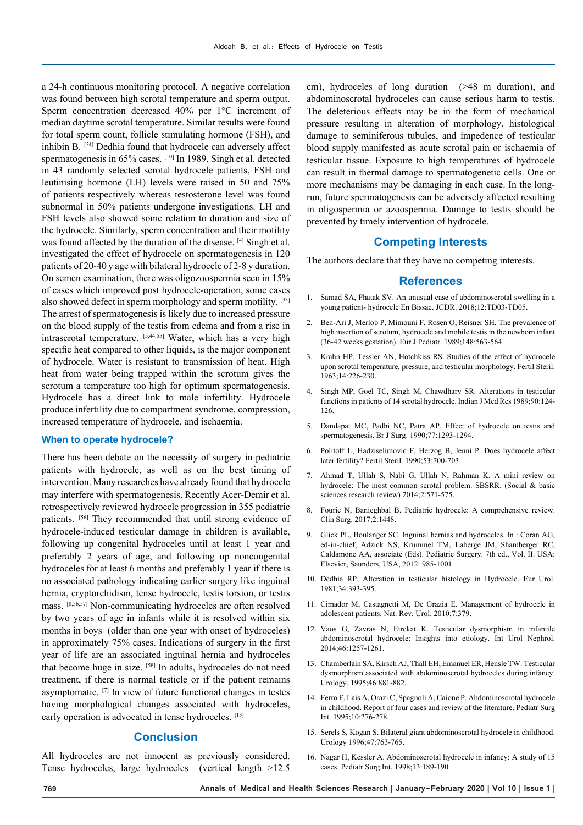a 24-h continuous monitoring protocol. A negative correlation was found between high scrotal temperature and sperm output. Sperm concentration decreased 40% per 1°C increment of median daytime scrotal temperature. Similar results were found for total sperm count, follicle stimulating hormone (FSH), and inhibin B. [54] Dedhia found that hydrocele can adversely affect spermatogenesis in 65% cases. [10] In 1989, Singh et al. detected in 43 randomly selected scrotal hydrocele patients, FSH and leutinising hormone (LH) levels were raised in 50 and 75% of patients respectively whereas testosterone level was found subnormal in 50% patients undergone investigations. LH and FSH levels also showed some relation to duration and size of the hydrocele. Similarly, sperm concentration and their motility was found affected by the duration of the disease. [4] Singh et al. investigated the effect of hydrocele on spermatogenesis in 120 patients of 20-40 y age with bilateral hydrocele of 2-8 y duration. On semen examination, there was oligozoospermia seen in 15% of cases which improved post hydrocele-operation, some cases also showed defect in sperm morphology and sperm motility. [33] The arrest of spermatogenesis is likely due to increased pressure on the blood supply of the testis from edema and from a rise in intrascrotal temperature. [5,44,55] Water, which has a very high specific heat compared to other liquids, is the major component of hydrocele. Water is resistant to transmission of heat. High heat from water being trapped within the scrotum gives the scrotum a temperature too high for optimum spermatogenesis. Hydrocele has a direct link to male infertility. Hydrocele produce infertility due to compartment syndrome, compression, increased temperature of hydrocele, and ischaemia.

#### **When to operate hydrocele?**

There has been debate on the necessity of surgery in pediatric patients with hydrocele, as well as on the best timing of intervention. Many researches have already found that hydrocele may interfere with spermatogenesis. Recently Acer-Demir et al. retrospectively reviewed hydrocele progression in 355 pediatric patients. [56] They recommended that until strong evidence of hydrocele-induced testicular damage in children is available, following up congenital hydroceles until at least 1 year and preferably 2 years of age, and following up noncongenital hydroceles for at least 6 months and preferably 1 year if there is no associated pathology indicating earlier surgery like inguinal hernia, cryptorchidism, tense hydrocele, testis torsion, or testis mass. [8,56,57] Non-communicating hydroceles are often resolved by two years of age in infants while it is resolved within six months in boys (older than one year with onset of hydroceles) in approximately 75% cases. Indications of surgery in the first year of life are an associated inguinal hernia and hydroceles that become huge in size. [58] In adults, hydroceles do not need treatment, if there is normal testicle or if the patient remains asymptomatic. [7] In view of future functional changes in testes having morphological changes associated with hydroceles, early operation is advocated in tense hydroceles. [13]

## **Conclusion**

All hydroceles are not innocent as previously considered. Tense hydroceles, large hydroceles (vertical length >12.5

cm), hydroceles of long duration (>48 m duration), and abdominoscrotal hydroceles can cause serious harm to testis. The deleterious effects may be in the form of mechanical pressure resulting in alteration of morphology, histological damage to seminiferous tubules, and impedence of testicular blood supply manifested as acute scrotal pain or ischaemia of testicular tissue. Exposure to high temperatures of hydrocele can result in thermal damage to spermatogenetic cells. One or more mechanisms may be damaging in each case. In the longrun, future spermatogenesis can be adversely affected resulting in oligospermia or azoospermia. Damage to testis should be prevented by timely intervention of hydrocele.

#### **Competing Interests**

The authors declare that they have no competing interests.

#### **References**

- 1. Samad SA, Phatak SV. An unusual case of abdominoscrotal swelling in a young patient- hydrocele En Bissac. JCDR. 2018;12:TD03-TD05.
- 2. Ben-Ari J, Merlob P, Mimouni F, Rosen O, Reisner SH. The prevalence of high insertion of scrotum, hydrocele and mobile testis in the newborn infant (36-42 weeks gestation). Eur J Pediatr. 1989;148:563-564.
- 3. Krahn HP, Tessler AN, Hotchkiss RS. Studies of the effect of hydrocele upon scrotal temperature, pressure, and testicular morphology. Fertil Steril. 1963;14:226-230.
- 4. Singh MP, Goel TC, Singh M, Chawdhary SR. Alterations in testicular functions in patients of 14 scrotal hydrocele. Indian J Med Res 1989;90:124- 126.
- 5. Dandapat MC, Padhi NC, Patra AP. Effect of hydrocele on testis and spermatogenesis. Br J Surg. 1990;77:1293-1294.
- 6. Politoff L, Hadziselimovic F, Herzog B, Jenni P. Does hydrocele affect later fertility? Fertil Steril. 1990;53:700-703.
- 7. Ahmad T, Ullah S, Nabi G, Ullah N, Rahman K. A mini review on hydrocele: The most common scrotal problem. SBSRR. (Social & basic sciences research review) 2014;2:571-575.
- 8. Fourie N, Banieghbal B. Pediatric hydrocele: A comprehensive review. Clin Surg. 2017;2:1448.
- 9. Glick PL, Boulanger SC. Inguinal hernias and hydroceles. In : Coran AG, ed-in-chief, Adzick NS, Krummel TM, Laberge JM, Shamberger RC, Caldamone AA, associate (Eds). Pediatric Surgery. 7th ed., Vol. II. USA: Elsevier, Saunders, USA, 2012: 985-1001.
- 10. Dedhia RP. Alteration in testicular histology in Hydrocele. Eur Urol. 1981;34:393-395.
- 11. Cimador M, Castagnetti M, De Grazia E. Management of hydrocele in adolescent patients. Nat. Rev. Urol. 2010;7:379.
- 12. Vaos G, Zavras N, Eirekat K. Testicular dysmorphism in infantile abdominoscrotal hydrocele: Insights into etiology. Int Urol Nephrol. 2014;46:1257-1261.
- 13. Chamberlain SA, Kirsch AJ, Thall EH, Emanuel ER, Hensle TW. Testicular dysmorphism associated with abdominoscrotal hydroceles during infancy. Urology. 1995;46:881-882.
- 14. Ferro F, Lais A, Orazi C, Spagnoli A, Caione P. Abdominoscrotal hydrocele in childhood. Report of four cases and review of the literature. Pediatr Surg Int. 1995;10:276-278.
- 15. Serels S, Kogan S. Bilateral giant abdominoscrotal hydrocele in childhood. Urology 1996;47:763-765.
- 16. Nagar H, Kessler A. Abdominoscrotal hydrocele in infancy: A study of 15 cases. Pediatr Surg Int. 1998;13:189-190.